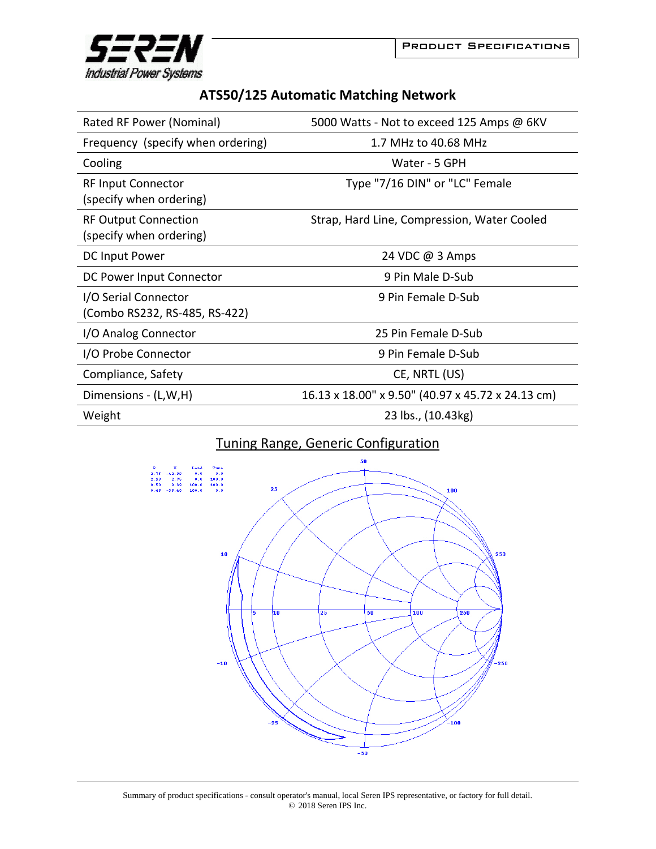



## **ATS50/125 Automatic Matching Network**

| Rated RF Power (Nominal)                               | 5000 Watts - Not to exceed 125 Amps @ 6KV         |
|--------------------------------------------------------|---------------------------------------------------|
| Frequency (specify when ordering)                      | 1.7 MHz to 40.68 MHz                              |
| Cooling                                                | Water - 5 GPH                                     |
| <b>RF Input Connector</b><br>(specify when ordering)   | Type "7/16 DIN" or "LC" Female                    |
| <b>RF Output Connection</b><br>(specify when ordering) | Strap, Hard Line, Compression, Water Cooled       |
| DC Input Power                                         | 24 VDC @ 3 Amps                                   |
| DC Power Input Connector                               | 9 Pin Male D-Sub                                  |
| I/O Serial Connector<br>(Combo RS232, RS-485, RS-422)  | 9 Pin Female D-Sub                                |
| I/O Analog Connector                                   | 25 Pin Female D-Sub                               |
| I/O Probe Connector                                    | 9 Pin Female D-Sub                                |
| Compliance, Safety                                     | CE, NRTL (US)                                     |
| Dimensions - (L,W,H)                                   | 16.13 x 18.00" x 9.50" (40.97 x 45.72 x 24.13 cm) |
| Weight                                                 | 23 lbs., (10.43kg)                                |

## Tuning Range, Generic Configuration